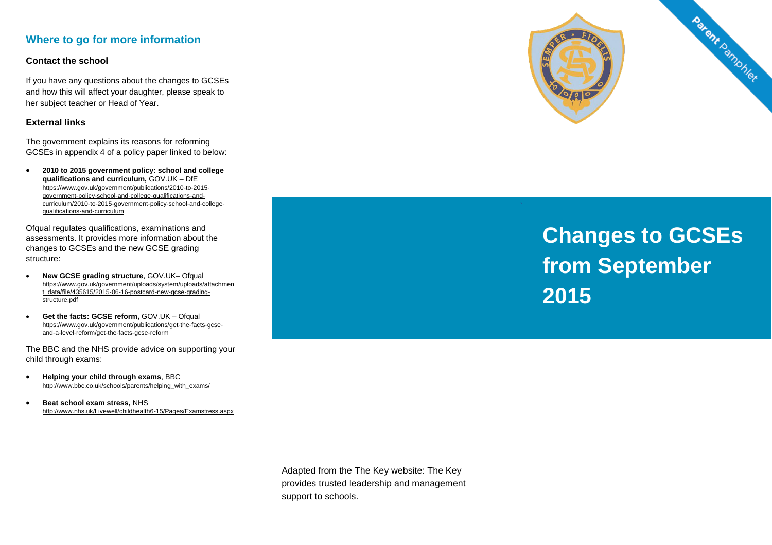## **Where to go for more information**

#### **Contact the school**

If you have any questions about the changes to GCSEs and how this will affect your daughter, please speak to her subject teacher or Head of Year.

#### **External links**

The government explains its reasons for reforming GCSEs in appendix 4 of a policy paper linked to below:

 **2010 to 2015 government policy: school and college qualifications and curriculum,** GOV.UK – DfE [https://www.gov.uk/government/publications/2010-to-2015](https://www.gov.uk/government/publications/2010-to-2015-government-policy-school-and-college-qualifications-and-curriculum/2010-to-2015-government-policy-school-and-college-qualifications-and-curriculum) [government-policy-school-and-college-qualifications-and](https://www.gov.uk/government/publications/2010-to-2015-government-policy-school-and-college-qualifications-and-curriculum/2010-to-2015-government-policy-school-and-college-qualifications-and-curriculum)[curriculum/2010-to-2015-government-policy-school-and-college](https://www.gov.uk/government/publications/2010-to-2015-government-policy-school-and-college-qualifications-and-curriculum/2010-to-2015-government-policy-school-and-college-qualifications-and-curriculum)[qualifications-and-curriculum](https://www.gov.uk/government/publications/2010-to-2015-government-policy-school-and-college-qualifications-and-curriculum/2010-to-2015-government-policy-school-and-college-qualifications-and-curriculum)

Ofqual regulates qualifications, examinations and assessments. It provides more information about the changes to GCSEs and the new GCSE grading structure:

- **New GCSE grading structure**, GOV.UK– Ofqual [https://www.gov.uk/government/uploads/system/uploads/attachmen](https://www.gov.uk/government/uploads/system/uploads/attachment_data/file/435615/2015-06-16-postcard-new-gcse-grading-structure.pdf) [t\\_data/file/435615/2015-06-16-postcard-new-gcse-grading](https://www.gov.uk/government/uploads/system/uploads/attachment_data/file/435615/2015-06-16-postcard-new-gcse-grading-structure.pdf)[structure.pdf](https://www.gov.uk/government/uploads/system/uploads/attachment_data/file/435615/2015-06-16-postcard-new-gcse-grading-structure.pdf)
- **Get the facts: GCSE reform,** GOV.UK Ofqual [https://www.gov.uk/government/publications/get-the-facts-gcse](https://www.gov.uk/government/publications/get-the-facts-gcse-and-a-level-reform/get-the-facts-gcse-reform)[and-a-level-reform/get-the-facts-gcse-reform](https://www.gov.uk/government/publications/get-the-facts-gcse-and-a-level-reform/get-the-facts-gcse-reform)

The BBC and the NHS provide advice on supporting your child through exams:

- **Helping your child through exams**, BBC [http://www.bbc.co.uk/schools/parents/helping\\_with\\_exams/](http://www.bbc.co.uk/schools/parents/helping_with_exams/)
- **Beat school exam stress,** NHS <http://www.nhs.uk/Livewell/childhealth6-15/Pages/Examstress.aspx>



# **Changes to GCSEs from September 2015**

Adapted from the The Key website: The Key provides trusted leadership and management support to schools.